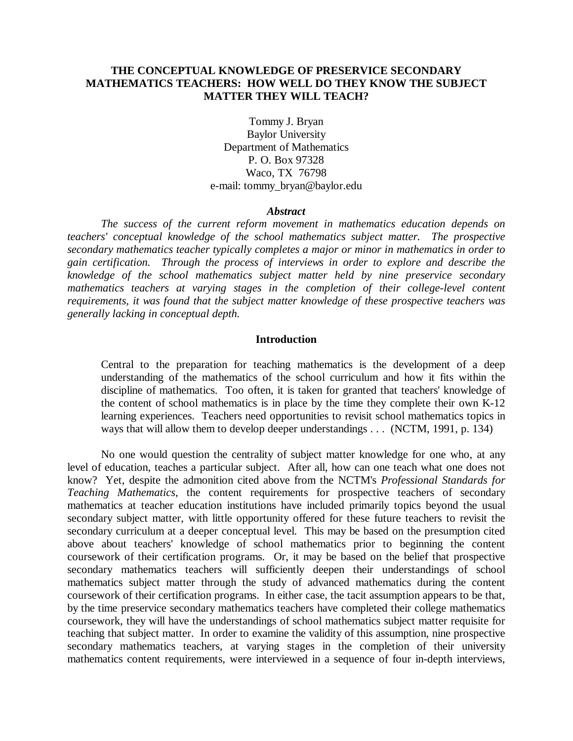# **THE CONCEPTUAL KNOWLEDGE OF PRESERVICE SECONDARY MATHEMATICS TEACHERS: HOW WELL DO THEY KNOW THE SUBJECT MATTER THEY WILL TEACH?**

Tommy J. Bryan Baylor University Department of Mathematics P. O. Box 97328 Waco, TX 76798 e-mail: tommy\_bryan@baylor.edu

#### *Abstract*

*The success of the current reform movement in mathematics education depends on teachers' conceptual knowledge of the school mathematics subject matter. The prospective secondary mathematics teacher typically completes a major or minor in mathematics in order to gain certification. Through the process of interviews in order to explore and describe the knowledge of the school mathematics subject matter held by nine preservice secondary mathematics teachers at varying stages in the completion of their college-level content requirements, it was found that the subject matter knowledge of these prospective teachers was generally lacking in conceptual depth.*

# **Introduction**

Central to the preparation for teaching mathematics is the development of a deep understanding of the mathematics of the school curriculum and how it fits within the discipline of mathematics. Too often, it is taken for granted that teachers' knowledge of the content of school mathematics is in place by the time they complete their own K-12 learning experiences. Teachers need opportunities to revisit school mathematics topics in ways that will allow them to develop deeper understandings . . . (NCTM, 1991, p. 134)

No one would question the centrality of subject matter knowledge for one who, at any level of education, teaches a particular subject. After all, how can one teach what one does not know? Yet, despite the admonition cited above from the NCTM's *Professional Standards for Teaching Mathematics*, the content requirements for prospective teachers of secondary mathematics at teacher education institutions have included primarily topics beyond the usual secondary subject matter, with little opportunity offered for these future teachers to revisit the secondary curriculum at a deeper conceptual level. This may be based on the presumption cited above about teachers' knowledge of school mathematics prior to beginning the content coursework of their certification programs. Or, it may be based on the belief that prospective secondary mathematics teachers will sufficiently deepen their understandings of school mathematics subject matter through the study of advanced mathematics during the content coursework of their certification programs. In either case, the tacit assumption appears to be that, by the time preservice secondary mathematics teachers have completed their college mathematics coursework, they will have the understandings of school mathematics subject matter requisite for teaching that subject matter. In order to examine the validity of this assumption, nine prospective secondary mathematics teachers, at varying stages in the completion of their university mathematics content requirements, were interviewed in a sequence of four in-depth interviews,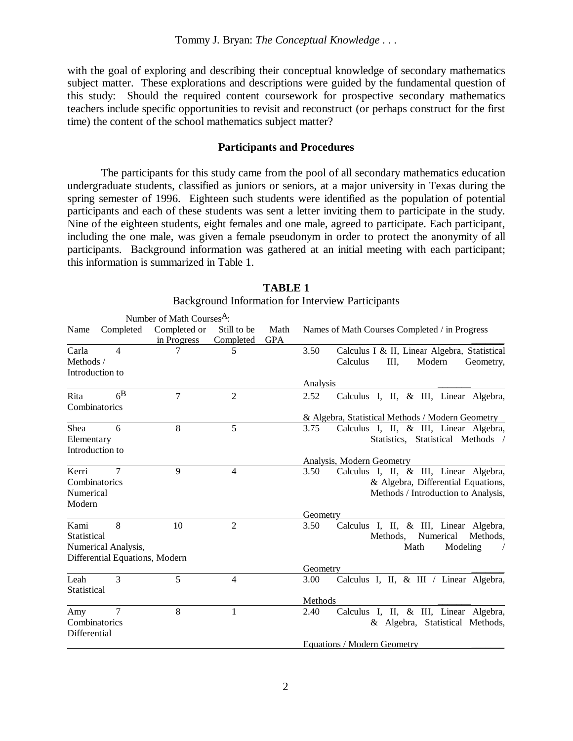with the goal of exploring and describing their conceptual knowledge of secondary mathematics subject matter. These explorations and descriptions were guided by the fundamental question of this study: Should the required content coursework for prospective secondary mathematics teachers include specific opportunities to revisit and reconstruct (or perhaps construct for the first time) the content of the school mathematics subject matter?

### **Participants and Procedures**

The participants for this study came from the pool of all secondary mathematics education undergraduate students, classified as juniors or seniors, at a major university in Texas during the spring semester of 1996. Eighteen such students were identified as the population of potential participants and each of these students was sent a letter inviting them to participate in the study. Nine of the eighteen students, eight females and one male, agreed to participate. Each participant, including the one male, was given a female pseudonym in order to protect the anonymity of all participants. Background information was gathered at an initial meeting with each participant; this information is summarized in Table 1.

|                                               |                | Number of Math Courses <sup>A</sup> : |                           |            |                                                  |                                                                                                                     |  |  |
|-----------------------------------------------|----------------|---------------------------------------|---------------------------|------------|--------------------------------------------------|---------------------------------------------------------------------------------------------------------------------|--|--|
| Name                                          | Completed      | Completed or                          | Still to be               | Math       |                                                  | Names of Math Courses Completed / in Progress                                                                       |  |  |
| Carla<br>Methods /<br>Introduction to         | 4              | in Progress                           | Completed<br>5            | <b>GPA</b> | 3.50                                             | Calculus I & II, Linear Algebra, Statistical<br>Calculus<br>Ш,<br>Modern<br>Geometry,                               |  |  |
|                                               |                |                                       |                           |            | Analysis                                         |                                                                                                                     |  |  |
| Rita<br>Combinatorics                         | 6 <sup>B</sup> | 7                                     | $\overline{2}$            |            | 2.52                                             | Calculus I, II, & III, Linear Algebra,                                                                              |  |  |
|                                               |                |                                       |                           |            | & Algebra, Statistical Methods / Modern Geometry |                                                                                                                     |  |  |
| Shea<br>Elementary<br>Introduction to         | 6              | 8                                     | 5                         |            | 3.75                                             | Calculus I, II, & III, Linear Algebra,<br>Statistics, Statistical Methods /                                         |  |  |
|                                               |                |                                       | Analysis, Modern Geometry |            |                                                  |                                                                                                                     |  |  |
| Kerri<br>Combinatorics<br>Numerical<br>Modern | 7              | 9                                     | 4                         |            | 3.50                                             | Calculus I, II, & III, Linear Algebra,<br>& Algebra, Differential Equations,<br>Methods / Introduction to Analysis, |  |  |
|                                               |                |                                       |                           |            | Geometry                                         |                                                                                                                     |  |  |
| Kami<br>Statistical<br>Numerical Analysis,    | 8              | 10                                    | 2                         |            | 3.50                                             | Calculus I, II, & III, Linear Algebra,<br>Numerical<br>Methods,<br>Methods,<br>Math<br>Modeling                     |  |  |
| Differential Equations, Modern                |                |                                       |                           |            | Geometry                                         |                                                                                                                     |  |  |
| Leah<br>Statistical                           | 3              | 5                                     | 4                         |            | 3.00                                             | Calculus I, II, & III / Linear Algebra,                                                                             |  |  |
|                                               |                |                                       | Methods                   |            |                                                  |                                                                                                                     |  |  |
| Amy<br>Combinatorics<br>Differential          | 7              | 8                                     | $\mathbf{1}$              |            | 2.40                                             | Calculus I, II, & III, Linear Algebra,<br>& Algebra, Statistical Methods,                                           |  |  |
|                                               |                |                                       |                           |            | Equations / Modern Geometry                      |                                                                                                                     |  |  |

| <b>TABLE 1</b>                                           |  |  |  |  |  |  |  |
|----------------------------------------------------------|--|--|--|--|--|--|--|
| <b>Background Information for Interview Participants</b> |  |  |  |  |  |  |  |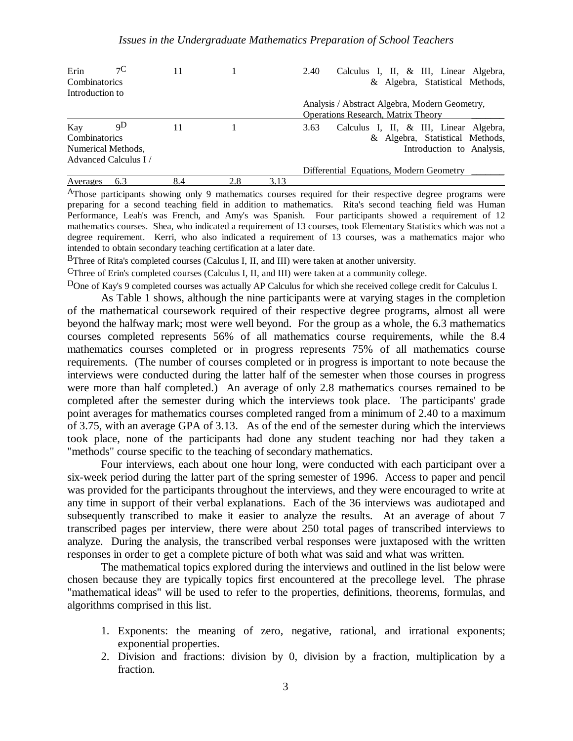| Erin                 | $\tau C$ | 11  |     |      | Calculus I, II, & III, Linear Algebra,<br>2.40                                             |
|----------------------|----------|-----|-----|------|--------------------------------------------------------------------------------------------|
| Combinatorics        |          |     |     |      | & Algebra, Statistical Methods,                                                            |
| Introduction to      |          |     |     |      |                                                                                            |
|                      |          |     |     |      | Analysis / Abstract Algebra, Modern Geometry,<br><b>Operations Research, Matrix Theory</b> |
| Kay                  | qΡ       | 11  |     |      | Calculus I, II, & III, Linear Algebra,<br>3.63                                             |
| Combinatorics        |          |     |     |      | & Algebra, Statistical Methods,                                                            |
| Numerical Methods,   |          |     |     |      | Introduction to Analysis,                                                                  |
| Advanced Calculus I/ |          |     |     |      |                                                                                            |
|                      |          |     |     |      | Differential Equations, Modern Geometry                                                    |
| Averages             | 6.3      | 8.4 | 2.8 | 3.13 |                                                                                            |

AThose participants showing only 9 mathematics courses required for their respective degree programs were preparing for a second teaching field in addition to mathematics. Rita's second teaching field was Human Performance, Leah's was French, and Amy's was Spanish. Four participants showed a requirement of 12 mathematics courses. Shea, who indicated a requirement of 13 courses, took Elementary Statistics which was not a degree requirement. Kerri, who also indicated a requirement of 13 courses, was a mathematics major who intended to obtain secondary teaching certification at a later date.

BThree of Rita's completed courses (Calculus I, II, and III) were taken at another university.

CThree of Erin's completed courses (Calculus I, II, and III) were taken at a community college.

DOne of Kay's 9 completed courses was actually AP Calculus for which she received college credit for Calculus I.

As Table 1 shows, although the nine participants were at varying stages in the completion of the mathematical coursework required of their respective degree programs, almost all were beyond the halfway mark; most were well beyond. For the group as a whole, the 6.3 mathematics courses completed represents 56% of all mathematics course requirements, while the 8.4 mathematics courses completed or in progress represents 75% of all mathematics course requirements. (The number of courses completed or in progress is important to note because the interviews were conducted during the latter half of the semester when those courses in progress were more than half completed.) An average of only 2.8 mathematics courses remained to be completed after the semester during which the interviews took place. The participants' grade point averages for mathematics courses completed ranged from a minimum of 2.40 to a maximum of 3.75, with an average GPA of 3.13. As of the end of the semester during which the interviews took place, none of the participants had done any student teaching nor had they taken a "methods" course specific to the teaching of secondary mathematics.

Four interviews, each about one hour long, were conducted with each participant over a six-week period during the latter part of the spring semester of 1996. Access to paper and pencil was provided for the participants throughout the interviews, and they were encouraged to write at any time in support of their verbal explanations. Each of the 36 interviews was audiotaped and subsequently transcribed to make it easier to analyze the results. At an average of about 7 transcribed pages per interview, there were about 250 total pages of transcribed interviews to analyze. During the analysis, the transcribed verbal responses were juxtaposed with the written responses in order to get a complete picture of both what was said and what was written.

The mathematical topics explored during the interviews and outlined in the list below were chosen because they are typically topics first encountered at the precollege level. The phrase "mathematical ideas" will be used to refer to the properties, definitions, theorems, formulas, and algorithms comprised in this list.

- 1. Exponents: the meaning of zero, negative, rational, and irrational exponents; exponential properties.
- 2. Division and fractions: division by 0, division by a fraction, multiplication by a fraction.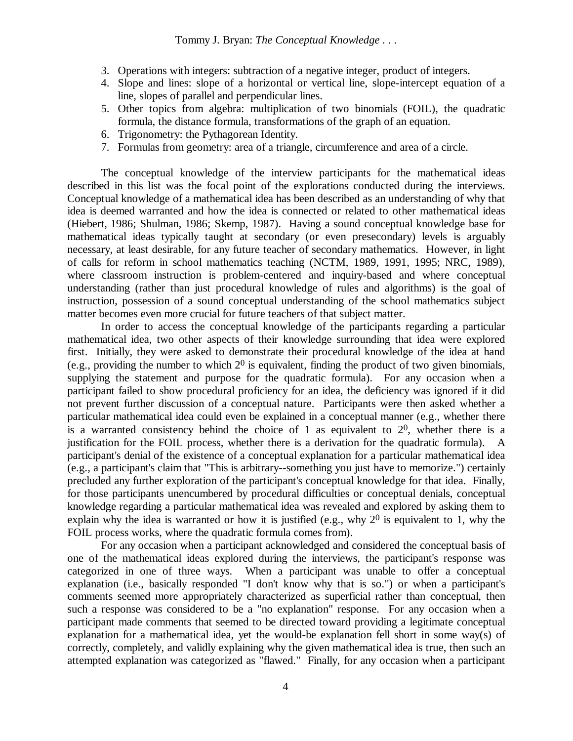- 3. Operations with integers: subtraction of a negative integer, product of integers.
- 4. Slope and lines: slope of a horizontal or vertical line, slope-intercept equation of a line, slopes of parallel and perpendicular lines.
- 5. Other topics from algebra: multiplication of two binomials (FOIL), the quadratic formula, the distance formula, transformations of the graph of an equation.
- 6. Trigonometry: the Pythagorean Identity.
- 7. Formulas from geometry: area of a triangle, circumference and area of a circle.

The conceptual knowledge of the interview participants for the mathematical ideas described in this list was the focal point of the explorations conducted during the interviews. Conceptual knowledge of a mathematical idea has been described as an understanding of why that idea is deemed warranted and how the idea is connected or related to other mathematical ideas (Hiebert, 1986; Shulman, 1986; Skemp, 1987). Having a sound conceptual knowledge base for mathematical ideas typically taught at secondary (or even presecondary) levels is arguably necessary, at least desirable, for any future teacher of secondary mathematics. However, in light of calls for reform in school mathematics teaching (NCTM, 1989, 1991, 1995; NRC, 1989), where classroom instruction is problem-centered and inquiry-based and where conceptual understanding (rather than just procedural knowledge of rules and algorithms) is the goal of instruction, possession of a sound conceptual understanding of the school mathematics subject matter becomes even more crucial for future teachers of that subject matter.

In order to access the conceptual knowledge of the participants regarding a particular mathematical idea, two other aspects of their knowledge surrounding that idea were explored first. Initially, they were asked to demonstrate their procedural knowledge of the idea at hand (e.g., providing the number to which  $2<sup>0</sup>$  is equivalent, finding the product of two given binomials, supplying the statement and purpose for the quadratic formula). For any occasion when a participant failed to show procedural proficiency for an idea, the deficiency was ignored if it did not prevent further discussion of a conceptual nature. Participants were then asked whether a particular mathematical idea could even be explained in a conceptual manner (e.g., whether there is a warranted consistency behind the choice of 1 as equivalent to  $2<sup>0</sup>$ , whether there is a justification for the FOIL process, whether there is a derivation for the quadratic formula). A participant's denial of the existence of a conceptual explanation for a particular mathematical idea (e.g., a participant's claim that "This is arbitrary--something you just have to memorize.") certainly precluded any further exploration of the participant's conceptual knowledge for that idea. Finally, for those participants unencumbered by procedural difficulties or conceptual denials, conceptual knowledge regarding a particular mathematical idea was revealed and explored by asking them to explain why the idea is warranted or how it is justified (e.g., why  $2<sup>0</sup>$  is equivalent to 1, why the FOIL process works, where the quadratic formula comes from).

For any occasion when a participant acknowledged and considered the conceptual basis of one of the mathematical ideas explored during the interviews, the participant's response was categorized in one of three ways. When a participant was unable to offer a conceptual explanation (i.e., basically responded "I don't know why that is so.") or when a participant's comments seemed more appropriately characterized as superficial rather than conceptual, then such a response was considered to be a "no explanation" response. For any occasion when a participant made comments that seemed to be directed toward providing a legitimate conceptual explanation for a mathematical idea, yet the would-be explanation fell short in some way(s) of correctly, completely, and validly explaining why the given mathematical idea is true, then such an attempted explanation was categorized as "flawed." Finally, for any occasion when a participant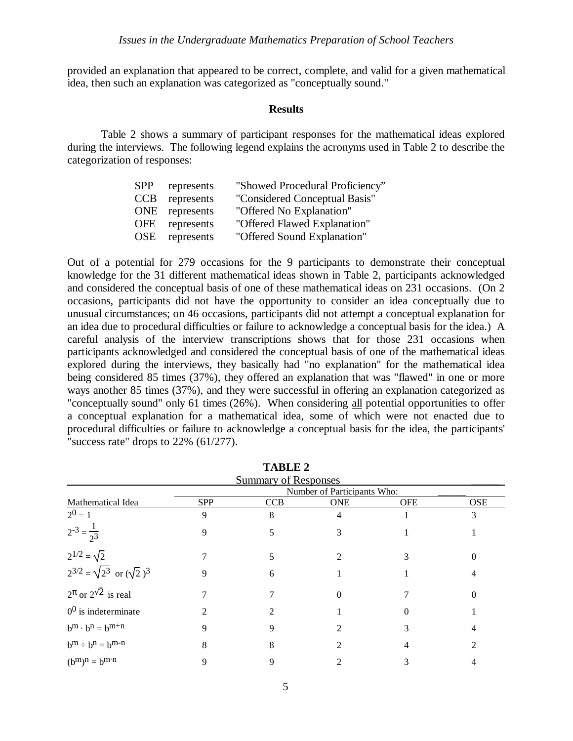provided an explanation that appeared to be correct, complete, and valid for a given mathematical idea, then such an explanation was categorized as "conceptually sound."

#### **Results**

Table 2 shows a summary of participant responses for the mathematical ideas explored during the interviews. The following legend explains the acronyms used in Table 2 to describe the categorization of responses:

| <b>SPP</b> | represents     | "Showed Procedural Proficiency" |
|------------|----------------|---------------------------------|
| <b>CCB</b> | represents     | "Considered Conceptual Basis"   |
|            | ONE represents | "Offered No Explanation"        |
|            | OFE represents | "Offered Flawed Explanation"    |
| OSE.       | represents     | "Offered Sound Explanation"     |
|            |                |                                 |

Out of a potential for 279 occasions for the 9 participants to demonstrate their conceptual knowledge for the 31 different mathematical ideas shown in Table 2, participants acknowledged and considered the conceptual basis of one of these mathematical ideas on 231 occasions. (On 2 occasions, participants did not have the opportunity to consider an idea conceptually due to unusual circumstances; on 46 occasions, participants did not attempt a conceptual explanation for an idea due to procedural difficulties or failure to acknowledge a conceptual basis for the idea.) A careful analysis of the interview transcriptions shows that for those 231 occasions when participants acknowledged and considered the conceptual basis of one of the mathematical ideas explored during the interviews, they basically had "no explanation" for the mathematical idea being considered 85 times (37%), they offered an explanation that was "flawed" in one or more ways another 85 times (37%), and they were successful in offering an explanation categorized as "conceptually sound" only 61 times (26%). When considering all potential opportunities to offer a conceptual explanation for a mathematical idea, some of which were not enacted due to procedural difficulties or failure to acknowledge a conceptual basis for the idea, the participants' "success rate" drops to 22% (61/277).

| <b>Summary of Responses</b>              |                             |            |            |            |            |  |  |
|------------------------------------------|-----------------------------|------------|------------|------------|------------|--|--|
|                                          | Number of Participants Who: |            |            |            |            |  |  |
| Mathematical Idea                        | <b>SPP</b>                  | <b>CCB</b> | <b>ONE</b> | <b>OFE</b> | <b>OSE</b> |  |  |
| $2^0 = 1$                                | 9                           | 8          | 4          |            | 3          |  |  |
| $2^{-3} = \frac{1}{2^3}$                 | 9                           |            | 3          |            |            |  |  |
| $2^{1/2} = \sqrt{2}$                     |                             |            |            |            |            |  |  |
| $2^{3/2} = \sqrt{2^3}$ or $(\sqrt{2})^3$ | 9                           | 6          |            |            |            |  |  |
| $2^{\pi}$ or $2^{\sqrt{2}}$ is real      |                             |            |            |            |            |  |  |
| $00$ is indeterminate                    |                             |            |            |            |            |  |  |
| $b^m \cdot b^n = b^{m+n}$                |                             |            |            |            |            |  |  |
| $b^m \div b^n = b^{m-n}$                 | 8                           | 8          |            |            |            |  |  |
| $(b^m)^n = b^{m \cdot n}$                | q                           | 9          |            |            |            |  |  |

**TABLE 2**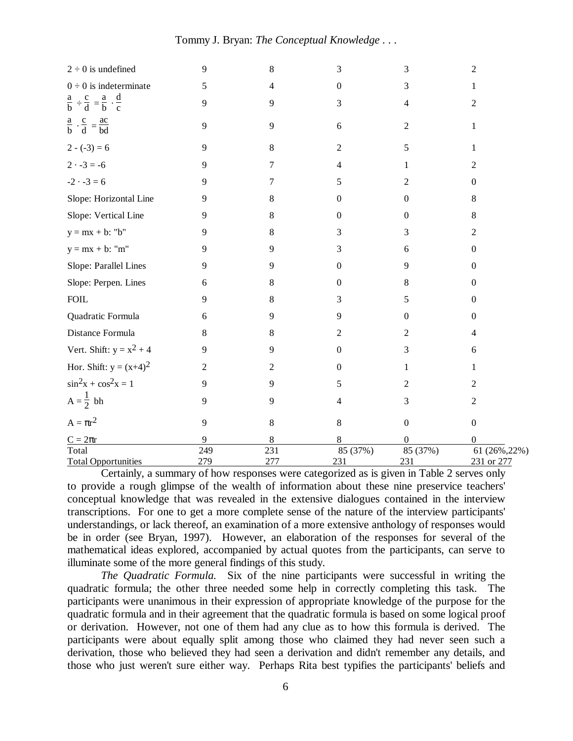### Tommy J. Bryan: *The Conceptual Knowledge . . .*

| $2 \div 0$ is undefined                                        | 9   | 8   | 3                | 3                | $\overline{c}$   |
|----------------------------------------------------------------|-----|-----|------------------|------------------|------------------|
| $0 \div 0$ is indeterminate                                    | 5   | 4   | $\boldsymbol{0}$ | 3                | 1                |
| $\frac{a}{b} \div \frac{c}{d} = \frac{a}{b} \cdot \frac{d}{c}$ | 9   | 9   | 3                | 4                | $\overline{c}$   |
| $\frac{a}{b} \cdot \frac{c}{d} = \frac{ac}{bd}$                | 9   | 9   | 6                | $\overline{2}$   | 1                |
| $2 - (-3) = 6$                                                 | 9   | 8   | $\overline{2}$   | 5                |                  |
| $2 \cdot -3 = -6$                                              | 9   | 7   | 4                | 1                | $\overline{2}$   |
| $-2 \cdot -3 = 6$                                              | 9   | 7   | 5                | 2                | $\overline{0}$   |
| Slope: Horizontal Line                                         | 9   | 8   | 0                | 0                | 8                |
| Slope: Vertical Line                                           | 9   | 8   | $\mathbf{0}$     | 0                | 8                |
| $y = mx + b$ : "b"                                             | 9   | 8   | 3                | 3                | $\overline{2}$   |
| $y = mx + b$ : "m"                                             | 9   | 9   | 3                | 6                | $\boldsymbol{0}$ |
| Slope: Parallel Lines                                          | 9   | 9   | $\boldsymbol{0}$ | 9                | $\overline{0}$   |
| Slope: Perpen. Lines                                           | 6   | 8   | $\boldsymbol{0}$ | 8                | $\mathbf{0}$     |
| ${\rm FOIL}$                                                   | 9   | 8   | 3                | 5                | $\overline{0}$   |
| Quadratic Formula                                              | 6   | 9   | 9                | 0                | $\boldsymbol{0}$ |
| Distance Formula                                               | 8   | 8   | $\overline{2}$   | 2                | 4                |
| Vert. Shift: $y = x^2 + 4$                                     | 9   | 9   | $\boldsymbol{0}$ | 3                | 6                |
| Hor. Shift: $y = (x+4)^2$                                      | 2   | 2   | $\boldsymbol{0}$ | 1                | 1                |
| $\sin^2 x + \cos^2 x = 1$                                      | 9   | 9   | 5                | 2                | $\overline{2}$   |
| $A=\frac{1}{2} bh$                                             | 9   | 9   | 4                | 3                | $\overline{2}$   |
| $A = \pi r^2$                                                  | 9   | 8   | $8\,$            | $\boldsymbol{0}$ | $\boldsymbol{0}$ |
| $C = 2\pi r$                                                   | 9   | 8   | 8                | 0                | 0                |
| Total                                                          | 249 | 231 | 85 (37%)         | 85 (37%)         | 61 (26%, 22%)    |
| <b>Total Opportunities</b>                                     | 279 | 277 | 231              | 231              | 231 or 277       |

Certainly, a summary of how responses were categorized as is given in Table 2 serves only to provide a rough glimpse of the wealth of information about these nine preservice teachers' conceptual knowledge that was revealed in the extensive dialogues contained in the interview transcriptions. For one to get a more complete sense of the nature of the interview participants' understandings, or lack thereof, an examination of a more extensive anthology of responses would be in order (see Bryan, 1997). However, an elaboration of the responses for several of the mathematical ideas explored, accompanied by actual quotes from the participants, can serve to illuminate some of the more general findings of this study.

*The Quadratic Formula.* Six of the nine participants were successful in writing the quadratic formula; the other three needed some help in correctly completing this task. The participants were unanimous in their expression of appropriate knowledge of the purpose for the quadratic formula and in their agreement that the quadratic formula is based on some logical proof or derivation. However, not one of them had any clue as to how this formula is derived. The participants were about equally split among those who claimed they had never seen such a derivation, those who believed they had seen a derivation and didn't remember any details, and those who just weren't sure either way. Perhaps Rita best typifies the participants' beliefs and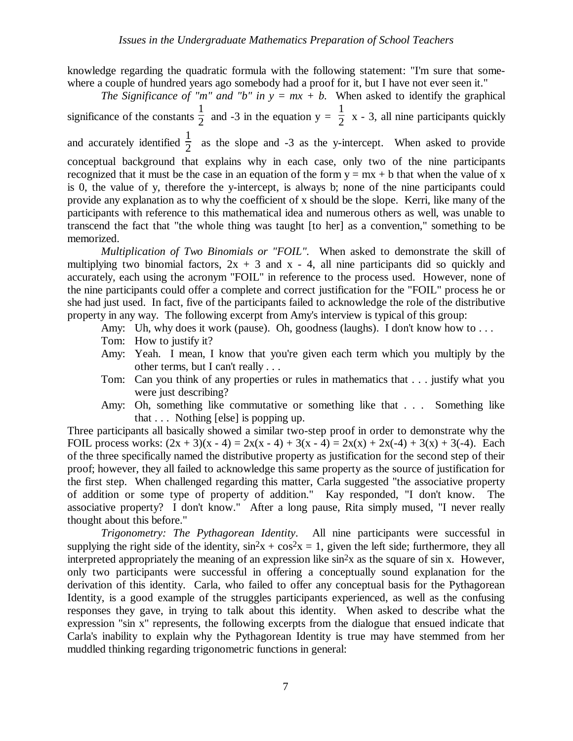knowledge regarding the quadratic formula with the following statement: "I'm sure that somewhere a couple of hundred years ago somebody had a proof for it, but I have not ever seen it."

*The Significance of "m" and "b" in*  $y = mx + b$ *.* When asked to identify the graphical significance of the constants  $\frac{1}{2}$  and -3 in the equation y = 1  $\frac{1}{2}$  x - 3, all nine participants quickly and accurately identified  $\frac{1}{2}$  as the slope and -3 as the y-intercept. When asked to provide conceptual background that explains why in each case, only two of the nine participants recognized that it must be the case in an equation of the form  $y = mx + b$  that when the value of x is 0, the value of y, therefore the y-intercept, is always b; none of the nine participants could provide any explanation as to why the coefficient of x should be the slope. Kerri, like many of the participants with reference to this mathematical idea and numerous others as well, was unable to transcend the fact that "the whole thing was taught [to her] as a convention," something to be memorized.

*Multiplication of Two Binomials or "FOIL".* When asked to demonstrate the skill of multiplying two binomial factors,  $2x + 3$  and  $x - 4$ , all nine participants did so quickly and accurately, each using the acronym "FOIL" in reference to the process used. However, none of the nine participants could offer a complete and correct justification for the "FOIL" process he or she had just used. In fact, five of the participants failed to acknowledge the role of the distributive property in any way. The following excerpt from Amy's interview is typical of this group:

- Amy: Uh, why does it work (pause). Oh, goodness (laughs). I don't know how to . . .
- Tom: How to justify it?
- Amy: Yeah. I mean, I know that you're given each term which you multiply by the other terms, but I can't really . . .
- Tom: Can you think of any properties or rules in mathematics that . . . justify what you were just describing?
- Amy: Oh, something like commutative or something like that . . . Something like that . . . Nothing [else] is popping up.

Three participants all basically showed a similar two-step proof in order to demonstrate why the FOIL process works:  $(2x + 3)(x - 4) = 2x(x - 4) + 3(x - 4) = 2x(x) + 2x(-4) + 3(x) + 3(-4)$ . Each of the three specifically named the distributive property as justification for the second step of their proof; however, they all failed to acknowledge this same property as the source of justification for the first step. When challenged regarding this matter, Carla suggested "the associative property of addition or some type of property of addition." Kay responded, "I don't know. The associative property? I don't know." After a long pause, Rita simply mused, "I never really thought about this before."

*Trigonometry: The Pythagorean Identity*. All nine participants were successful in supplying the right side of the identity,  $\sin^2 x + \cos^2 x = 1$ , given the left side; furthermore, they all interpreted appropriately the meaning of an expression like sin2x as the square of sin x. However, only two participants were successful in offering a conceptually sound explanation for the derivation of this identity. Carla, who failed to offer any conceptual basis for the Pythagorean Identity, is a good example of the struggles participants experienced, as well as the confusing responses they gave, in trying to talk about this identity. When asked to describe what the expression "sin x" represents, the following excerpts from the dialogue that ensued indicate that Carla's inability to explain why the Pythagorean Identity is true may have stemmed from her muddled thinking regarding trigonometric functions in general: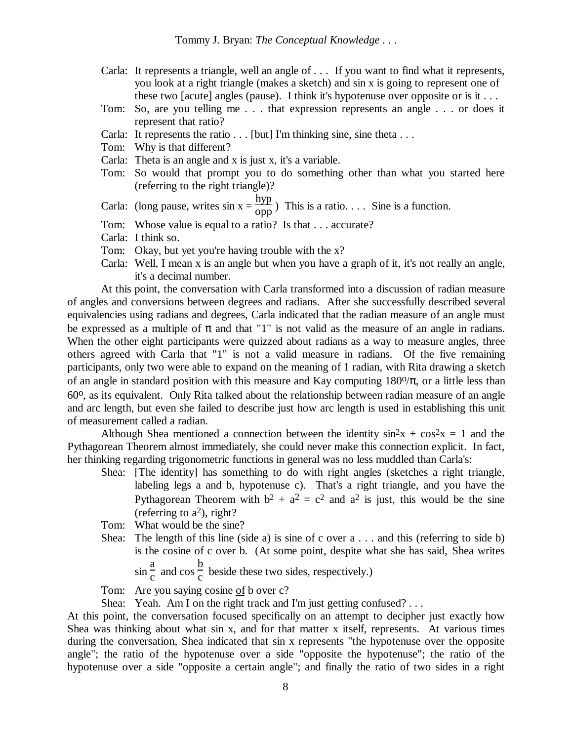- Carla: It represents a triangle, well an angle of . . . If you want to find what it represents, you look at a right triangle (makes a sketch) and sin x is going to represent one of these two [acute] angles (pause). I think it's hypotenuse over opposite or is it . . .
- Tom: So, are you telling me . . . that expression represents an angle . . . or does it represent that ratio?
- Carla: It represents the ratio  $\ldots$  [but] I'm thinking sine, sine theta  $\ldots$
- Tom: Why is that different?
- Carla: Theta is an angle and x is just x, it's a variable.
- Tom: So would that prompt you to do something other than what you started here (referring to the right triangle)?

Carla: (long pause, writes  $\sin x = \frac{hyp}{opp}$ ) This is a ratio.... Sine is a function.

- Tom: Whose value is equal to a ratio? Is that . . . accurate?
- Carla: I think so.
- Tom: Okay, but yet you're having trouble with the x?
- Carla: Well, I mean x is an angle but when you have a graph of it, it's not really an angle, it's a decimal number.

At this point, the conversation with Carla transformed into a discussion of radian measure of angles and conversions between degrees and radians. After she successfully described several equivalencies using radians and degrees, Carla indicated that the radian measure of an angle must be expressed as a multiple of  $\pi$  and that "1" is not valid as the measure of an angle in radians. When the other eight participants were quizzed about radians as a way to measure angles, three others agreed with Carla that "1" is not a valid measure in radians. Of the five remaining participants, only two were able to expand on the meaning of 1 radian, with Rita drawing a sketch of an angle in standard position with this measure and Kay computing  $180\%$ , or a little less than 60o, as its equivalent. Only Rita talked about the relationship between radian measure of an angle and arc length, but even she failed to describe just how arc length is used in establishing this unit of measurement called a radian.

Although Shea mentioned a connection between the identity  $\sin^2 x + \cos^2 x = 1$  and the Pythagorean Theorem almost immediately, she could never make this connection explicit. In fact, her thinking regarding trigonometric functions in general was no less muddled than Carla's:

- Shea: [The identity] has something to do with right angles (sketches a right triangle, labeling legs a and b, hypotenuse c). That's a right triangle, and you have the Pythagorean Theorem with  $b^2 + a^2 = c^2$  and  $a^2$  is just, this would be the sine (referring to  $a^2$ ), right?
- Tom: What would be the sine?
- Shea: The length of this line (side a) is sine of c over a . . . and this (referring to side b) is the cosine of c over b. (At some point, despite what she has said, Shea writes  $\sin \frac{a}{c}$  and cos b
	- $\frac{0}{c}$  beside these two sides, respectively.)

Tom: Are you saying cosine of b over c?

Shea: Yeah. Am I on the right track and I'm just getting confused?...

At this point, the conversation focused specifically on an attempt to decipher just exactly how Shea was thinking about what sin x, and for that matter x itself, represents. At various times during the conversation, Shea indicated that sin x represents "the hypotenuse over the opposite angle"; the ratio of the hypotenuse over a side "opposite the hypotenuse"; the ratio of the hypotenuse over a side "opposite a certain angle"; and finally the ratio of two sides in a right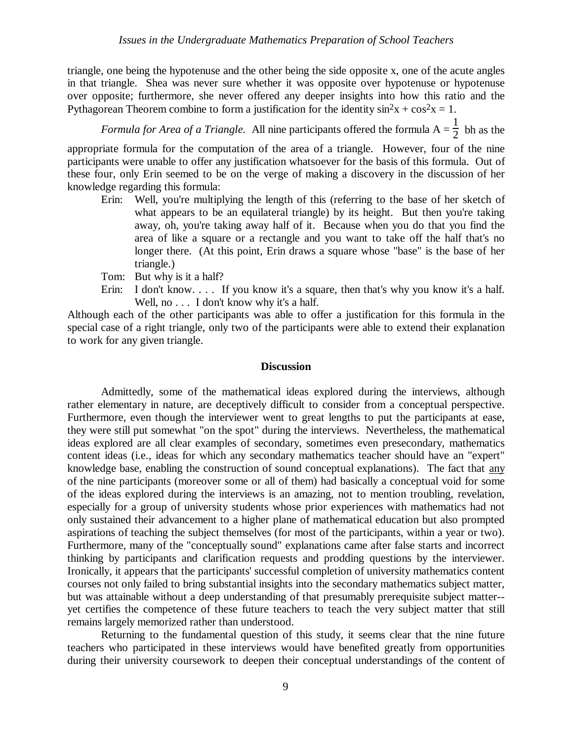triangle, one being the hypotenuse and the other being the side opposite x, one of the acute angles in that triangle. Shea was never sure whether it was opposite over hypotenuse or hypotenuse over opposite; furthermore, she never offered any deeper insights into how this ratio and the Pythagorean Theorem combine to form a justification for the identity  $\sin^2 x + \cos^2 x = 1$ .

*Formula for Area of a Triangle.* All nine participants offered the formula  $A = \frac{1}{2}$  bh as the

appropriate formula for the computation of the area of a triangle. However, four of the nine participants were unable to offer any justification whatsoever for the basis of this formula. Out of these four, only Erin seemed to be on the verge of making a discovery in the discussion of her knowledge regarding this formula:

- Erin: Well, you're multiplying the length of this (referring to the base of her sketch of what appears to be an equilateral triangle) by its height. But then you're taking away, oh, you're taking away half of it. Because when you do that you find the area of like a square or a rectangle and you want to take off the half that's no longer there. (At this point, Erin draws a square whose "base" is the base of her triangle.)
- Tom: But why is it a half?
- Erin: I don't know.... If you know it's a square, then that's why you know it's a half. Well, no . . . I don't know why it's a half.

Although each of the other participants was able to offer a justification for this formula in the special case of a right triangle, only two of the participants were able to extend their explanation to work for any given triangle.

#### **Discussion**

Admittedly, some of the mathematical ideas explored during the interviews, although rather elementary in nature, are deceptively difficult to consider from a conceptual perspective. Furthermore, even though the interviewer went to great lengths to put the participants at ease, they were still put somewhat "on the spot" during the interviews. Nevertheless, the mathematical ideas explored are all clear examples of secondary, sometimes even presecondary, mathematics content ideas (i.e., ideas for which any secondary mathematics teacher should have an "expert" knowledge base, enabling the construction of sound conceptual explanations). The fact that any of the nine participants (moreover some or all of them) had basically a conceptual void for some of the ideas explored during the interviews is an amazing, not to mention troubling, revelation, especially for a group of university students whose prior experiences with mathematics had not only sustained their advancement to a higher plane of mathematical education but also prompted aspirations of teaching the subject themselves (for most of the participants, within a year or two). Furthermore, many of the "conceptually sound" explanations came after false starts and incorrect thinking by participants and clarification requests and prodding questions by the interviewer. Ironically, it appears that the participants' successful completion of university mathematics content courses not only failed to bring substantial insights into the secondary mathematics subject matter, but was attainable without a deep understanding of that presumably prerequisite subject matter- yet certifies the competence of these future teachers to teach the very subject matter that still remains largely memorized rather than understood.

Returning to the fundamental question of this study, it seems clear that the nine future teachers who participated in these interviews would have benefited greatly from opportunities during their university coursework to deepen their conceptual understandings of the content of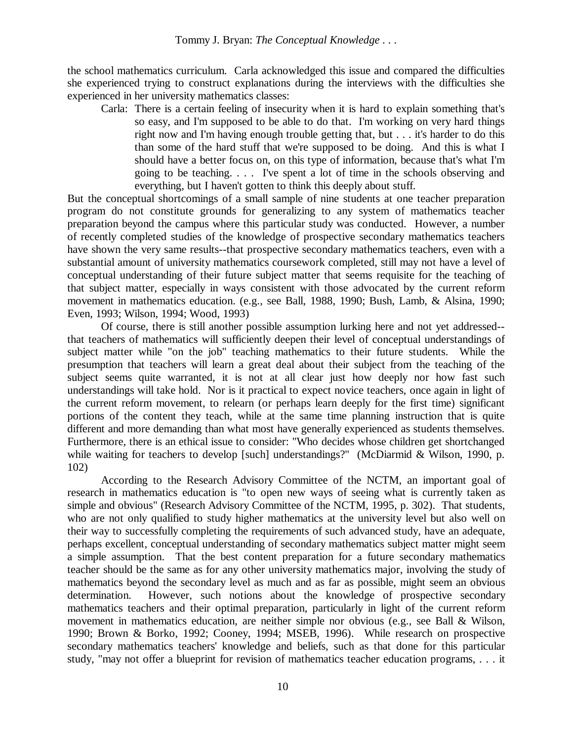the school mathematics curriculum. Carla acknowledged this issue and compared the difficulties she experienced trying to construct explanations during the interviews with the difficulties she experienced in her university mathematics classes:

Carla: There is a certain feeling of insecurity when it is hard to explain something that's so easy, and I'm supposed to be able to do that. I'm working on very hard things right now and I'm having enough trouble getting that, but . . . it's harder to do this than some of the hard stuff that we're supposed to be doing. And this is what I should have a better focus on, on this type of information, because that's what I'm going to be teaching. . . . I've spent a lot of time in the schools observing and everything, but I haven't gotten to think this deeply about stuff.

But the conceptual shortcomings of a small sample of nine students at one teacher preparation program do not constitute grounds for generalizing to any system of mathematics teacher preparation beyond the campus where this particular study was conducted. However, a number of recently completed studies of the knowledge of prospective secondary mathematics teachers have shown the very same results--that prospective secondary mathematics teachers, even with a substantial amount of university mathematics coursework completed, still may not have a level of conceptual understanding of their future subject matter that seems requisite for the teaching of that subject matter, especially in ways consistent with those advocated by the current reform movement in mathematics education. (e.g., see Ball, 1988, 1990; Bush, Lamb, & Alsina, 1990; Even, 1993; Wilson, 1994; Wood, 1993)

Of course, there is still another possible assumption lurking here and not yet addressed- that teachers of mathematics will sufficiently deepen their level of conceptual understandings of subject matter while "on the job" teaching mathematics to their future students. While the presumption that teachers will learn a great deal about their subject from the teaching of the subject seems quite warranted, it is not at all clear just how deeply nor how fast such understandings will take hold. Nor is it practical to expect novice teachers, once again in light of the current reform movement, to relearn (or perhaps learn deeply for the first time) significant portions of the content they teach, while at the same time planning instruction that is quite different and more demanding than what most have generally experienced as students themselves. Furthermore, there is an ethical issue to consider: "Who decides whose children get shortchanged while waiting for teachers to develop [such] understandings?" (McDiarmid & Wilson, 1990, p. 102)

According to the Research Advisory Committee of the NCTM, an important goal of research in mathematics education is "to open new ways of seeing what is currently taken as simple and obvious" (Research Advisory Committee of the NCTM, 1995, p. 302). That students, who are not only qualified to study higher mathematics at the university level but also well on their way to successfully completing the requirements of such advanced study, have an adequate, perhaps excellent, conceptual understanding of secondary mathematics subject matter might seem a simple assumption. That the best content preparation for a future secondary mathematics teacher should be the same as for any other university mathematics major, involving the study of mathematics beyond the secondary level as much and as far as possible, might seem an obvious determination. However, such notions about the knowledge of prospective secondary mathematics teachers and their optimal preparation, particularly in light of the current reform movement in mathematics education, are neither simple nor obvious (e.g., see Ball & Wilson, 1990; Brown & Borko, 1992; Cooney, 1994; MSEB, 1996). While research on prospective secondary mathematics teachers' knowledge and beliefs, such as that done for this particular study, "may not offer a blueprint for revision of mathematics teacher education programs, . . . it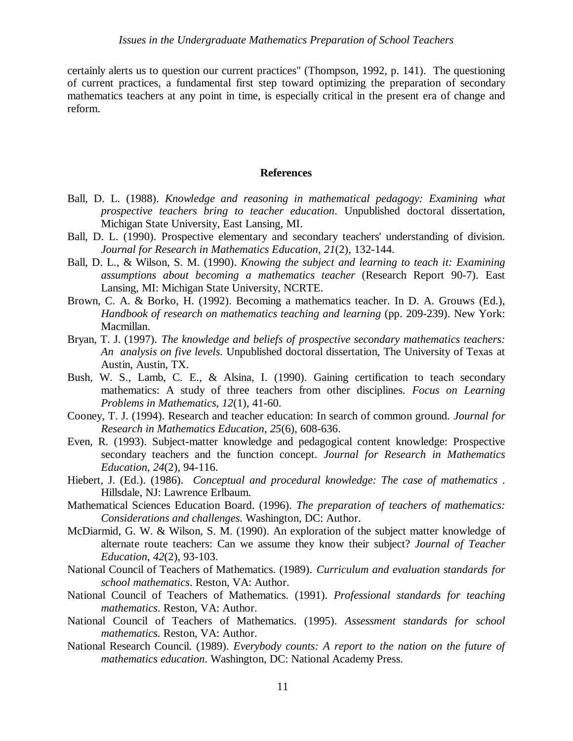certainly alerts us to question our current practices" (Thompson, 1992, p. 141). The questioning of current practices, a fundamental first step toward optimizing the preparation of secondary mathematics teachers at any point in time, is especially critical in the present era of change and reform.

#### **References**

- Ball, D. L. (1988). *Knowledge and reasoning in mathematical pedagogy: Examining what prospective teachers bring to teacher education*. Unpublished doctoral dissertation, Michigan State University, East Lansing, MI.
- Ball, D. L. (1990). Prospective elementary and secondary teachers' understanding of division. *Journal for Research in Mathematics Education*, *21*(2), 132-144.
- Ball, D. L., & Wilson, S. M. (1990). *Knowing the subject and learning to teach it: Examining assumptions about becoming a mathematics teacher* (Research Report 90-7). East Lansing, MI: Michigan State University, NCRTE.
- Brown, C. A. & Borko, H. (1992). Becoming a mathematics teacher. In D. A. Grouws (Ed.), *Handbook of research on mathematics teaching and learning* (pp. 209-239). New York: Macmillan.
- Bryan, T. J. (1997). *The knowledge and beliefs of prospective secondary mathematics teachers: An analysis on five levels*. Unpublished doctoral dissertation, The University of Texas at Austin, Austin, TX.
- Bush, W. S., Lamb, C. E., & Alsina, I. (1990). Gaining certification to teach secondary mathematics: A study of three teachers from other disciplines. *Focus on Learning Problems in Mathematics*, *12*(1), 41-60.
- Cooney, T. J. (1994). Research and teacher education: In search of common ground. *Journal for Research in Mathematics Education*, *25*(6), 608-636.
- Even, R. (1993). Subject-matter knowledge and pedagogical content knowledge: Prospective secondary teachers and the function concept. *Journal for Research in Mathematics Education*, *24*(2), 94-116.
- Hiebert, J. (Ed.). (1986). *Conceptual and procedural knowledge: The case of mathematics* . Hillsdale, NJ: Lawrence Erlbaum.
- Mathematical Sciences Education Board. (1996). *The preparation of teachers of mathematics: Considerations and challenges*. Washington, DC: Author.
- McDiarmid, G. W. & Wilson, S. M. (1990). An exploration of the subject matter knowledge of alternate route teachers: Can we assume they know their subject? *Journal of Teacher Education*, *42*(2), 93-103.
- National Council of Teachers of Mathematics. (1989). *Curriculum and evaluation standards for school mathematics*. Reston, VA: Author.
- National Council of Teachers of Mathematics. (1991). *Professional standards for teaching mathematics*. Reston, VA: Author.
- National Council of Teachers of Mathematics. (1995). *Assessment standards for school mathematics.* Reston, VA: Author.
- National Research Council. (1989). *Everybody counts: A report to the nation on the future of mathematics education*. Washington, DC: National Academy Press.